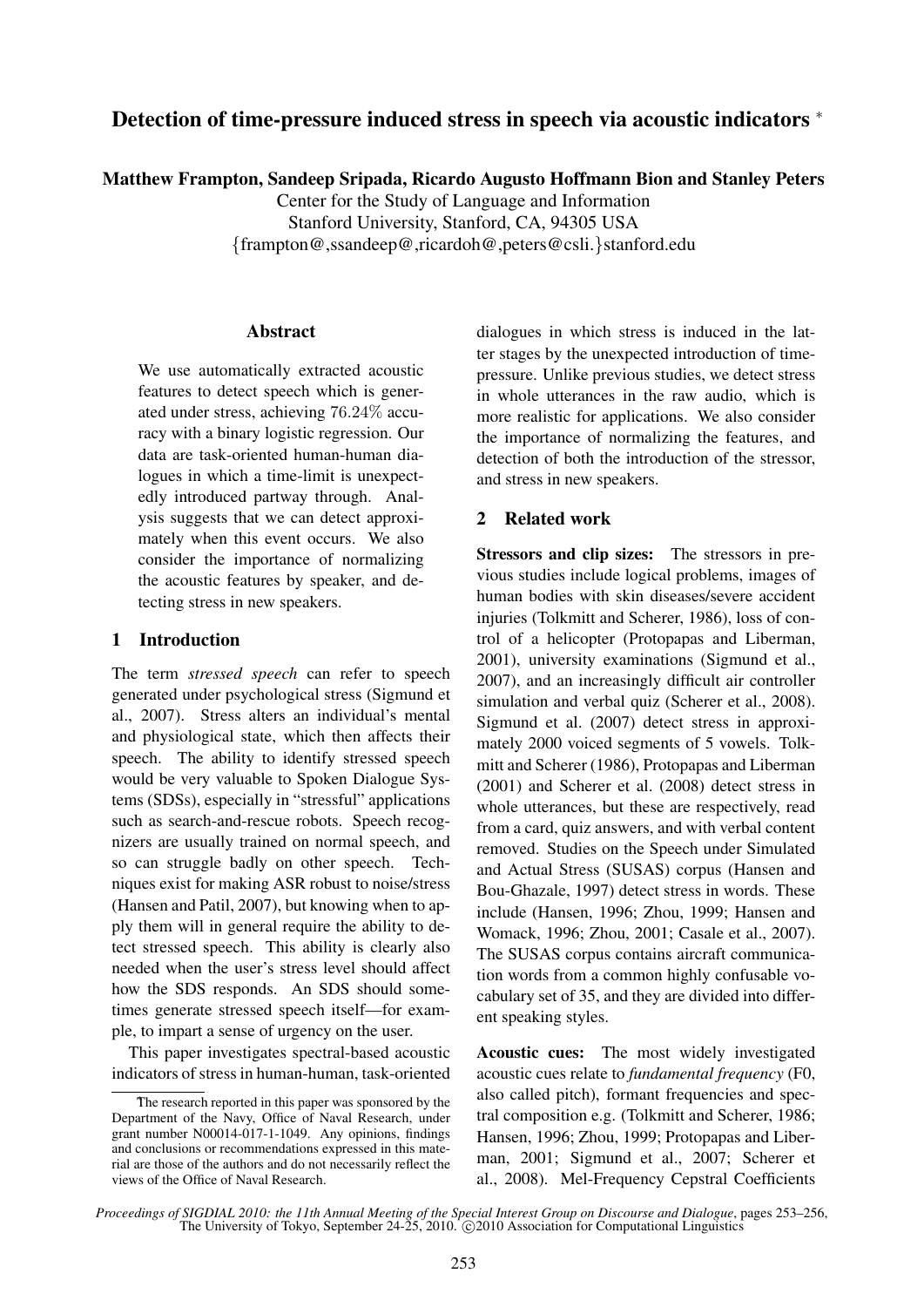# Detection of time-pressure induced stress in speech via acoustic indicators <sup>∗</sup>

Matthew Frampton, Sandeep Sripada, Ricardo Augusto Hoffmann Bion and Stanley Peters

Center for the Study of Language and Information Stanford University, Stanford, CA, 94305 USA {frampton@,ssandeep@,ricardoh@,peters@csli.}stanford.edu

## Abstract

We use automatically extracted acoustic features to detect speech which is generated under stress, achieving 76.24% accuracy with a binary logistic regression. Our data are task-oriented human-human dialogues in which a time-limit is unexpectedly introduced partway through. Analysis suggests that we can detect approximately when this event occurs. We also consider the importance of normalizing the acoustic features by speaker, and detecting stress in new speakers.

## 1 Introduction

The term *stressed speech* can refer to speech generated under psychological stress (Sigmund et al., 2007). Stress alters an individual's mental and physiological state, which then affects their speech. The ability to identify stressed speech would be very valuable to Spoken Dialogue Systems (SDSs), especially in "stressful" applications such as search-and-rescue robots. Speech recognizers are usually trained on normal speech, and so can struggle badly on other speech. Techniques exist for making ASR robust to noise/stress (Hansen and Patil, 2007), but knowing when to apply them will in general require the ability to detect stressed speech. This ability is clearly also needed when the user's stress level should affect how the SDS responds. An SDS should sometimes generate stressed speech itself—for example, to impart a sense of urgency on the user.

This paper investigates spectral-based acoustic indicators of stress in human-human, task-oriented dialogues in which stress is induced in the latter stages by the unexpected introduction of timepressure. Unlike previous studies, we detect stress in whole utterances in the raw audio, which is more realistic for applications. We also consider the importance of normalizing the features, and detection of both the introduction of the stressor, and stress in new speakers.

## 2 Related work

Stressors and clip sizes: The stressors in previous studies include logical problems, images of human bodies with skin diseases/severe accident injuries (Tolkmitt and Scherer, 1986), loss of control of a helicopter (Protopapas and Liberman, 2001), university examinations (Sigmund et al., 2007), and an increasingly difficult air controller simulation and verbal quiz (Scherer et al., 2008). Sigmund et al. (2007) detect stress in approximately 2000 voiced segments of 5 vowels. Tolkmitt and Scherer (1986), Protopapas and Liberman (2001) and Scherer et al. (2008) detect stress in whole utterances, but these are respectively, read from a card, quiz answers, and with verbal content removed. Studies on the Speech under Simulated and Actual Stress (SUSAS) corpus (Hansen and Bou-Ghazale, 1997) detect stress in words. These include (Hansen, 1996; Zhou, 1999; Hansen and Womack, 1996; Zhou, 2001; Casale et al., 2007). The SUSAS corpus contains aircraft communication words from a common highly confusable vocabulary set of 35, and they are divided into different speaking styles.

Acoustic cues: The most widely investigated acoustic cues relate to *fundamental frequency* (F0, also called pitch), formant frequencies and spectral composition e.g. (Tolkmitt and Scherer, 1986; Hansen, 1996; Zhou, 1999; Protopapas and Liberman, 2001; Sigmund et al., 2007; Scherer et al., 2008). Mel-Frequency Cepstral Coefficients

The research reported in this paper was sponsored by the Department of the Navy, Office of Naval Research, under grant number N00014-017-1-1049. Any opinions, findings and conclusions or recommendations expressed in this material are those of the authors and do not necessarily reflect the views of the Office of Naval Research.

*Proceedings of SIGDIAL 2010: the 11th Annual Meeting of the Special Interest Group on Discourse and Dialogue*, pages 253–256, The University of Tokyo, September 24-25, 2010. © 2010 Association for Computational Linguistics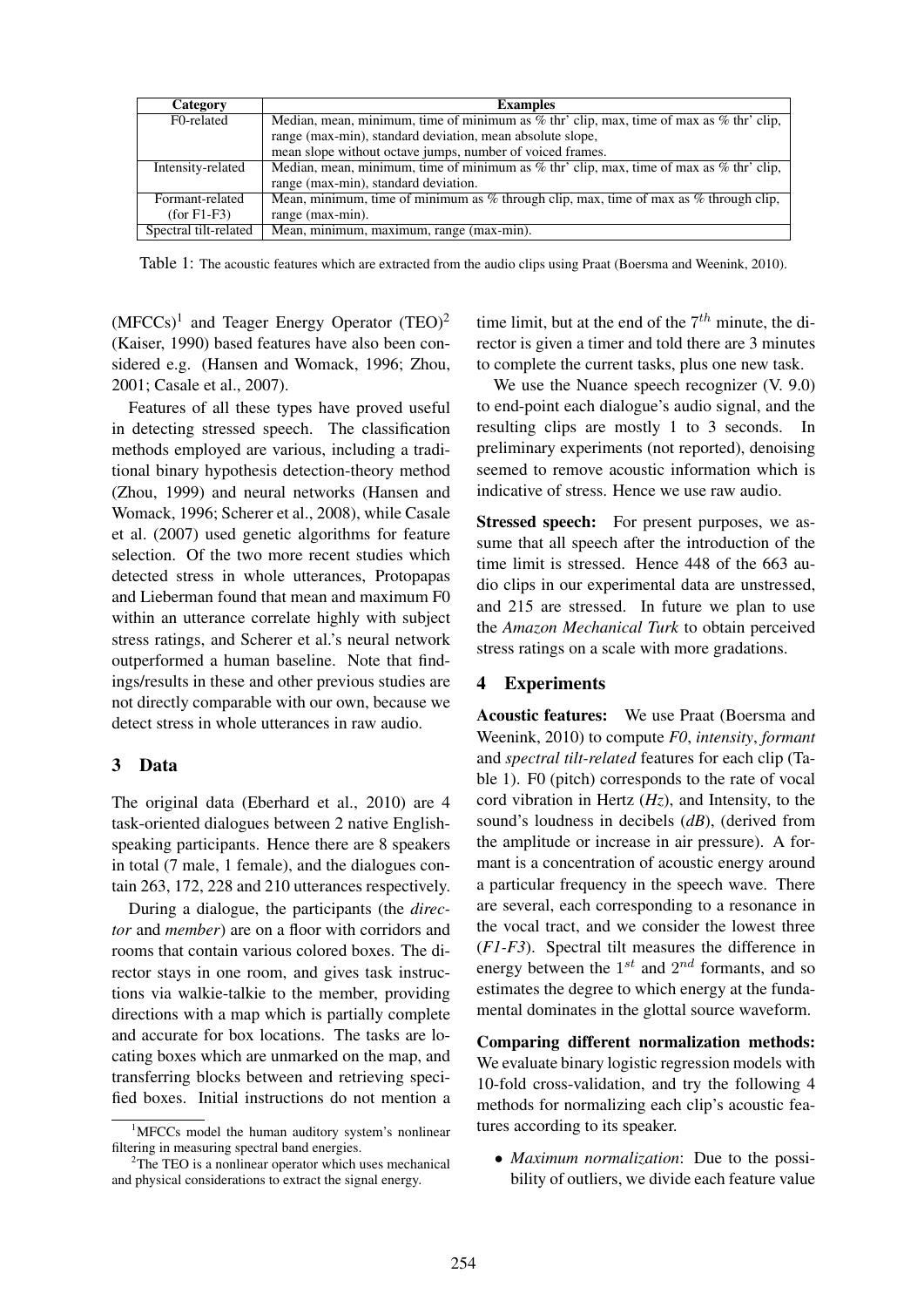| Category              | <b>Examples</b>                                                                             |
|-----------------------|---------------------------------------------------------------------------------------------|
| F0-related            | Median, mean, minimum, time of minimum as $%$ thr' clip, max, time of max as $%$ thr' clip, |
|                       | range (max-min), standard deviation, mean absolute slope,                                   |
|                       | mean slope without octave jumps, number of voiced frames.                                   |
| Intensity-related     | Median, mean, minimum, time of minimum as % thr' clip, max, time of max as % thr' clip,     |
|                       | range (max-min), standard deviation.                                                        |
| Formant-related       | Mean, minimum, time of minimum as $%$ through clip, max, time of max as $%$ through clip,   |
| $(for F1-F3)$         | range (max-min).                                                                            |
| Spectral tilt-related | Mean, minimum, maximum, range (max-min).                                                    |

Table 1: The acoustic features which are extracted from the audio clips using Praat (Boersma and Weenink, 2010).

 $(MFCCs)^1$  and Teager Energy Operator  $(TEO)^2$ (Kaiser, 1990) based features have also been considered e.g. (Hansen and Womack, 1996; Zhou, 2001; Casale et al., 2007).

Features of all these types have proved useful in detecting stressed speech. The classification methods employed are various, including a traditional binary hypothesis detection-theory method (Zhou, 1999) and neural networks (Hansen and Womack, 1996; Scherer et al., 2008), while Casale et al. (2007) used genetic algorithms for feature selection. Of the two more recent studies which detected stress in whole utterances, Protopapas and Lieberman found that mean and maximum F0 within an utterance correlate highly with subject stress ratings, and Scherer et al.'s neural network outperformed a human baseline. Note that findings/results in these and other previous studies are not directly comparable with our own, because we detect stress in whole utterances in raw audio.

## 3 Data

The original data (Eberhard et al., 2010) are 4 task-oriented dialogues between 2 native Englishspeaking participants. Hence there are 8 speakers in total (7 male, 1 female), and the dialogues contain 263, 172, 228 and 210 utterances respectively.

During a dialogue, the participants (the *director* and *member*) are on a floor with corridors and rooms that contain various colored boxes. The director stays in one room, and gives task instructions via walkie-talkie to the member, providing directions with a map which is partially complete and accurate for box locations. The tasks are locating boxes which are unmarked on the map, and transferring blocks between and retrieving specified boxes. Initial instructions do not mention a

time limit, but at the end of the  $7<sup>th</sup>$  minute, the director is given a timer and told there are 3 minutes to complete the current tasks, plus one new task.

We use the Nuance speech recognizer (V. 9.0) to end-point each dialogue's audio signal, and the resulting clips are mostly 1 to 3 seconds. In preliminary experiments (not reported), denoising seemed to remove acoustic information which is indicative of stress. Hence we use raw audio.

**Stressed speech:** For present purposes, we assume that all speech after the introduction of the time limit is stressed. Hence 448 of the 663 audio clips in our experimental data are unstressed, and 215 are stressed. In future we plan to use the *Amazon Mechanical Turk* to obtain perceived stress ratings on a scale with more gradations.

#### 4 Experiments

Acoustic features: We use Praat (Boersma and Weenink, 2010) to compute *F0*, *intensity*, *formant* and *spectral tilt-related* features for each clip (Table 1). F0 (pitch) corresponds to the rate of vocal cord vibration in Hertz (*Hz*), and Intensity, to the sound's loudness in decibels (*dB*), (derived from the amplitude or increase in air pressure). A formant is a concentration of acoustic energy around a particular frequency in the speech wave. There are several, each corresponding to a resonance in the vocal tract, and we consider the lowest three (*F1-F3*). Spectral tilt measures the difference in energy between the  $1^{st}$  and  $2^{nd}$  formants, and so estimates the degree to which energy at the fundamental dominates in the glottal source waveform.

Comparing different normalization methods: We evaluate binary logistic regression models with 10-fold cross-validation, and try the following 4 methods for normalizing each clip's acoustic features according to its speaker.

• *Maximum normalization*: Due to the possibility of outliers, we divide each feature value

<sup>&</sup>lt;sup>1</sup>MFCCs model the human auditory system's nonlinear filtering in measuring spectral band energies.

 $2$ The TEO is a nonlinear operator which uses mechanical and physical considerations to extract the signal energy.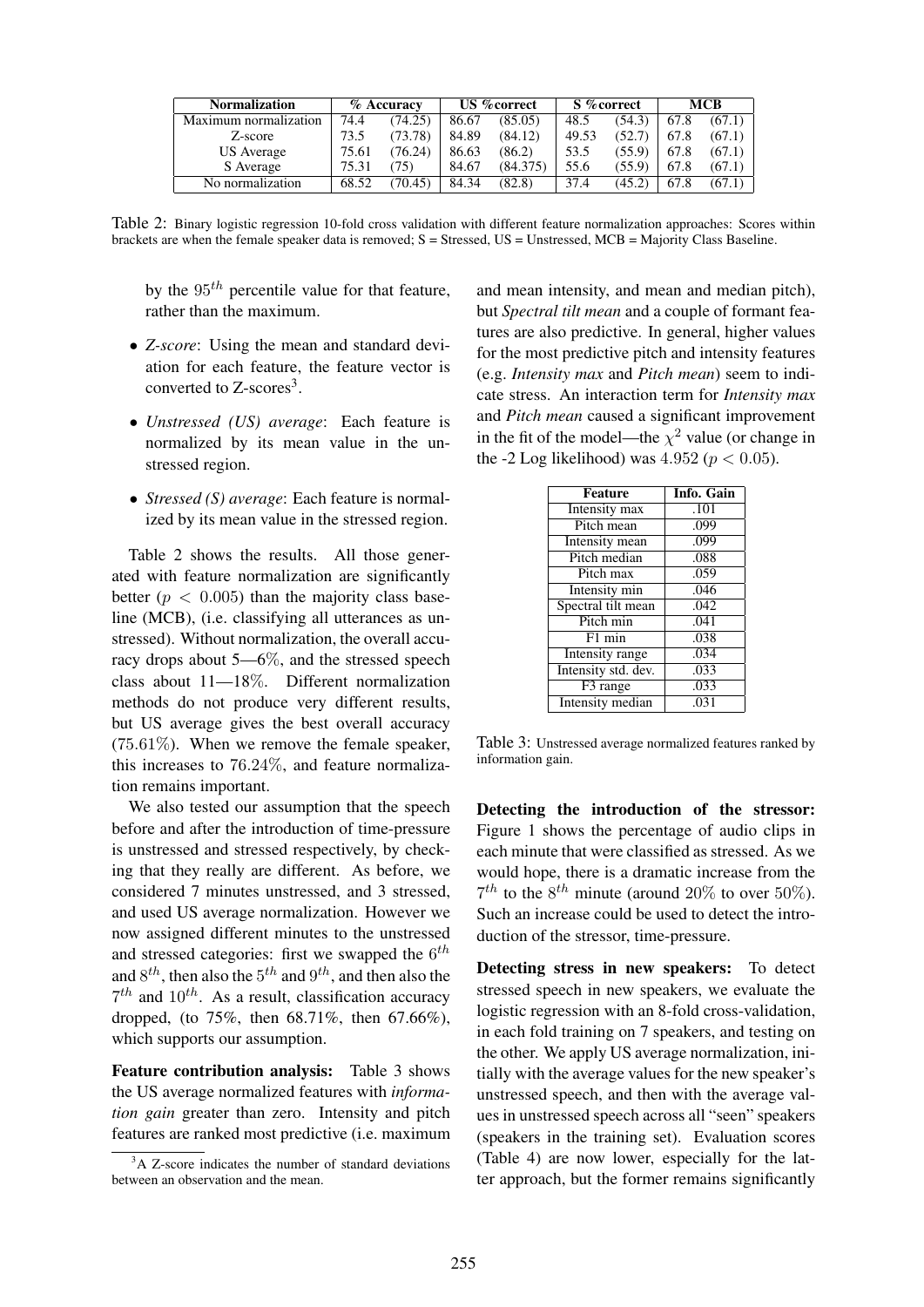| <b>Normalization</b>  | % Accuracy |         | US % correct |          | S % correct |        | <b>MCB</b> |        |
|-----------------------|------------|---------|--------------|----------|-------------|--------|------------|--------|
| Maximum normalization | 74.4       | (74.25) | 86.67        | (85.05)  | 48.5        | (54.3) | 67.8       | (67.1) |
| Z-score               | 73.5       | (73.78) | 84.89        | (84.12)  | 49.53       | (52.7) | 67.8       | (67.1) |
| <b>US</b> Average     | 75.61      | (76.24) | 86.63        | (86.2)   | 53.5        | (55.9) | 67.8       | (67.1) |
| S Average             | 75.31      | (75)    | 84.67        | (84.375) | 55.6        | (55.9) | 67.8       | (67.1) |
| No normalization      | 68.52      | (70.45) | 84.34        | (82.8)   | 37.4        | (45.2) | 67.8       | (67.1) |

Table 2: Binary logistic regression 10-fold cross validation with different feature normalization approaches: Scores within brackets are when the female speaker data is removed; S = Stressed, US = Unstressed, MCB = Majority Class Baseline.

by the  $95<sup>th</sup>$  percentile value for that feature, rather than the maximum.

- *Z-score*: Using the mean and standard deviation for each feature, the feature vector is converted to  $Z$ -scores<sup>3</sup>.
- *Unstressed (US) average*: Each feature is normalized by its mean value in the unstressed region.
- *Stressed (S) average*: Each feature is normalized by its mean value in the stressed region.

Table 2 shows the results. All those generated with feature normalization are significantly better ( $p < 0.005$ ) than the majority class baseline (MCB), (i.e. classifying all utterances as unstressed). Without normalization, the overall accuracy drops about 5—6%, and the stressed speech class about 11—18%. Different normalization methods do not produce very different results, but US average gives the best overall accuracy  $(75.61\%)$ . When we remove the female speaker, this increases to 76.24%, and feature normalization remains important.

We also tested our assumption that the speech before and after the introduction of time-pressure is unstressed and stressed respectively, by checking that they really are different. As before, we considered 7 minutes unstressed, and 3 stressed, and used US average normalization. However we now assigned different minutes to the unstressed and stressed categories: first we swapped the  $6^{th}$ and  $8^{th}$ , then also the  $5^{th}$  and  $9^{th}$ , and then also the  $7<sup>th</sup>$  and  $10<sup>th</sup>$ . As a result, classification accuracy dropped, (to 75%, then 68.71%, then 67.66%), which supports our assumption.

Feature contribution analysis: Table 3 shows the US average normalized features with *information gain* greater than zero. Intensity and pitch features are ranked most predictive (i.e. maximum

and mean intensity, and mean and median pitch), but *Spectral tilt mean* and a couple of formant features are also predictive. In general, higher values for the most predictive pitch and intensity features (e.g. *Intensity max* and *Pitch mean*) seem to indicate stress. An interaction term for *Intensity max* and *Pitch mean* caused a significant improvement in the fit of the model—the  $\chi^2$  value (or change in the -2 Log likelihood) was  $4.952 (p < 0.05)$ .

| Feature                 | Info. Gain |
|-------------------------|------------|
| Intensity max           | .101       |
| Pitch mean              | .099       |
| Intensity mean          | .099       |
| Pitch median            | .088       |
| Pitch max               | .059       |
| Intensity min           | .046       |
| Spectral tilt mean      | .042       |
| Pitch min               | .041       |
| F1 min                  | .038       |
| <b>Intensity</b> range  | .034       |
| Intensity std. dev.     | .033       |
| F <sub>3</sub> range    | .033       |
| <b>Intensity</b> median | .031       |

Table 3: Unstressed average normalized features ranked by information gain.

Detecting the introduction of the stressor: Figure 1 shows the percentage of audio clips in each minute that were classified as stressed. As we would hope, there is a dramatic increase from the  $7<sup>th</sup>$  to the  $8<sup>th</sup>$  minute (around 20% to over 50%). Such an increase could be used to detect the introduction of the stressor, time-pressure.

Detecting stress in new speakers: To detect stressed speech in new speakers, we evaluate the logistic regression with an 8-fold cross-validation, in each fold training on 7 speakers, and testing on the other. We apply US average normalization, initially with the average values for the new speaker's unstressed speech, and then with the average values in unstressed speech across all "seen" speakers (speakers in the training set). Evaluation scores (Table 4) are now lower, especially for the latter approach, but the former remains significantly

 $3A$  Z-score indicates the number of standard deviations between an observation and the mean.